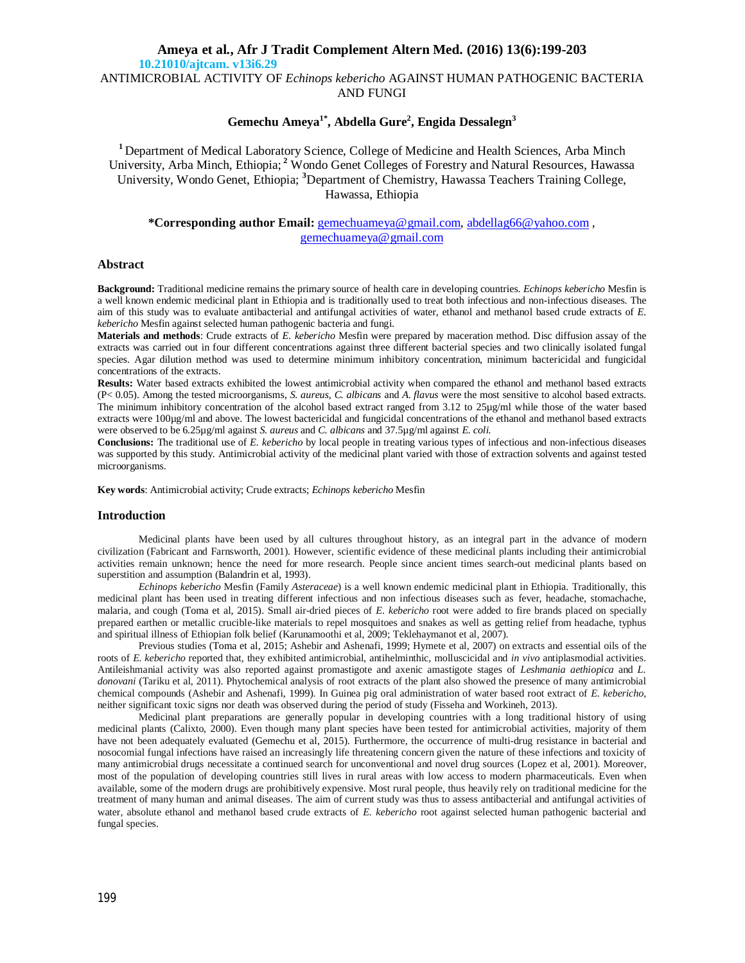# **Ameya et al., Afr J Tradit Complement Altern Med. (2016) 13(6):199-203 10.21010/ajtcam. v13i6.29** ANTIMICROBIAL ACTIVITY OF *Echinops kebericho* AGAINST HUMAN PATHOGENIC BACTERIA

AND FUNGI

# **Gemechu Ameya1\*, Abdella Gure<sup>2</sup> , Engida Dessalegn<sup>3</sup>**

**<sup>1</sup>**Department of Medical Laboratory Science, College of Medicine and Health Sciences, Arba Minch University, Arba Minch, Ethiopia; **<sup>2</sup>** Wondo Genet Colleges of Forestry and Natural Resources, Hawassa University, Wondo Genet, Ethiopia; **<sup>3</sup>**Department of Chemistry, Hawassa Teachers Training College, Hawassa, Ethiopia

**\*Corresponding author Email:** gemechuameya@gmail.com, abdellag66@yahoo.com , gemechuameya@gmail.com

## **Abstract**

**Background:** Traditional medicine remains the primary source of health care in developing countries. *Echinops kebericho* Mesfin is a well known endemic medicinal plant in Ethiopia and is traditionally used to treat both infectious and non-infectious diseases. The aim of this study was to evaluate antibacterial and antifungal activities of water, ethanol and methanol based crude extracts of *E. kebericho* Mesfin against selected human pathogenic bacteria and fungi.

**Materials and methods**: Crude extracts of *E. kebericho* Mesfin were prepared by maceration method. Disc diffusion assay of the extracts was carried out in four different concentrations against three different bacterial species and two clinically isolated fungal species. Agar dilution method was used to determine minimum inhibitory concentration, minimum bactericidal and fungicidal concentrations of the extracts.

**Results:** Water based extracts exhibited the lowest antimicrobial activity when compared the ethanol and methanol based extracts (P< 0.05). Among the tested microorganisms, *S. aureus, C. albicans* and *A*. *flavus* were the most sensitive to alcohol based extracts. The minimum inhibitory concentration of the alcohol based extract ranged from 3.12 to 25µg/ml while those of the water based extracts were 100µg/ml and above. The lowest bactericidal and fungicidal concentrations of the ethanol and methanol based extracts were observed to be 6.25µg/ml against *S. aureus* and *C. albicans* and 37.5µg/ml against *E. coli.*

**Conclusions:** The traditional use of *E. kebericho* by local people in treating various types of infectious and non-infectious diseases was supported by this study. Antimicrobial activity of the medicinal plant varied with those of extraction solvents and against tested microorganisms.

**Key words**: Antimicrobial activity; Crude extracts; *Echinops kebericho* Mesfin

#### **Introduction**

Medicinal plants have been used by all cultures throughout history, as an integral part in the advance of modern civilization (Fabricant and Farnsworth, 2001). However, scientific evidence of these medicinal plants including their antimicrobial activities remain unknown; hence the need for more research. People since ancient times search-out medicinal plants based on superstition and assumption (Balandrin et al, 1993).

*Echinops kebericho* Mesfin (Family *Asteraceae*) is a well known endemic medicinal plant in Ethiopia. Traditionally, this medicinal plant has been used in treating different infectious and non infectious diseases such as fever, headache, stomachache, malaria, and cough (Toma et al, 2015). Small air-dried pieces of *E*. *kebericho* root were added to fire brands placed on specially prepared earthen or metallic crucible-like materials to repel mosquitoes and snakes as well as getting relief from headache, typhus and spiritual illness of Ethiopian folk belief (Karunamoothi et al, 2009; Teklehaymanot et al, 2007).

Previous studies (Toma et al, 2015; Ashebir and Ashenafi, 1999; Hymete et al, 2007) on extracts and essential oils of the roots of *E. kebericho* reported that*,* they exhibited antimicrobial, antihelminthic, molluscicidal and *in vivo* antiplasmodial activities. Antileishmanial activity was also reported against promastigote and axenic amastigote stages of *Leshmania aethiopica* and *L. donovani* (Tariku et al, 2011). Phytochemical analysis of root extracts of the plant also showed the presence of many antimicrobial chemical compounds (Ashebir and Ashenafi, 1999). In Guinea pig oral administration of water based root extract of *E. kebericho*, neither significant toxic signs nor death was observed during the period of study (Fisseha and Workineh, 2013).

Medicinal plant preparations are generally popular in developing countries with a long traditional history of using medicinal plants (Calixto, 2000). Even though many plant species have been tested for antimicrobial activities, majority of them have not been adequately evaluated (Gemechu et al, 2015). Furthermore, the occurrence of multi-drug resistance in bacterial and nosocomial fungal infections have raised an increasingly life threatening concern given the nature of these infections and toxicity of many antimicrobial drugs necessitate a continued search for unconventional and novel drug sources (Lopez et al, 2001). Moreover, most of the population of developing countries still lives in rural areas with low access to modern pharmaceuticals. Even when available, some of the modern drugs are prohibitively expensive. Most rural people, thus heavily rely on traditional medicine for the treatment of many human and animal diseases. The aim of current study was thus to assess antibacterial and antifungal activities of water, absolute ethanol and methanol based crude extracts of *E. kebericho* root against selected human pathogenic bacterial and fungal species.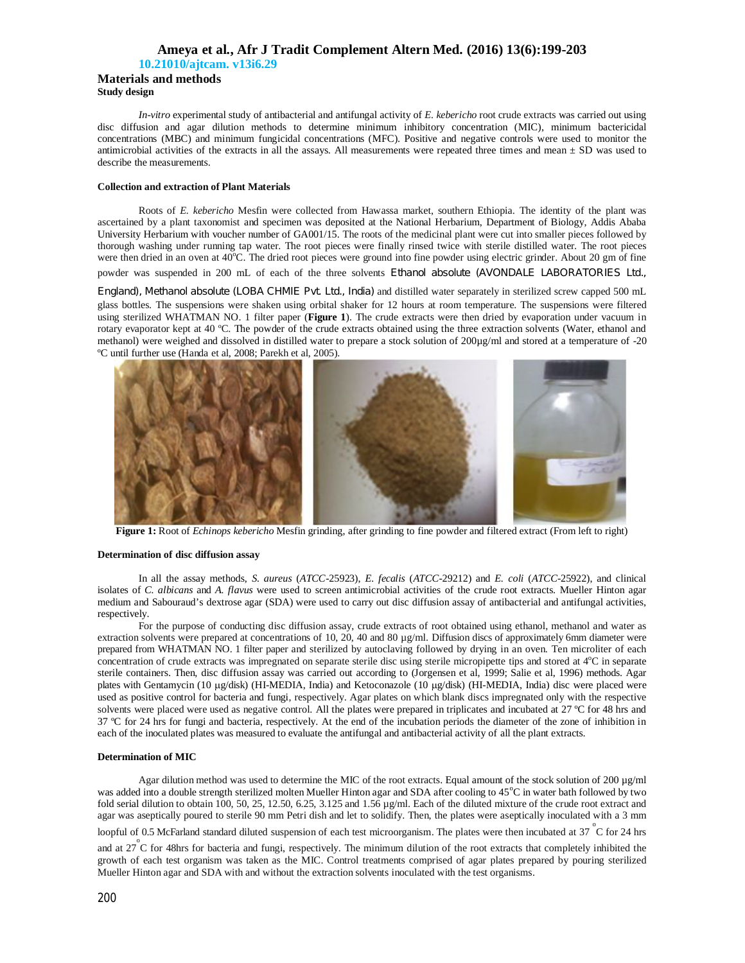## **Ameya et al., Afr J Tradit Complement Altern Med. (2016) 13(6):199-203 10.21010/ajtcam. v13i6.29**

**Materials and methods Study design** 

*In-vitro* experimental study of antibacterial and antifungal activity of *E. kebericho* root crude extracts was carried out using disc diffusion and agar dilution methods to determine minimum inhibitory concentration (MIC), minimum bactericidal concentrations (MBC) and minimum fungicidal concentrations (MFC). Positive and negative controls were used to monitor the antimicrobial activities of the extracts in all the assays. All measurements were repeated three times and mean  $\pm$  SD was used to describe the measurements.

## **Collection and extraction of Plant Materials**

Roots of *E. kebericho* Mesfin were collected from Hawassa market, southern Ethiopia. The identity of the plant was ascertained by a plant taxonomist and specimen was deposited at the National Herbarium, Department of Biology, Addis Ababa University Herbarium with voucher number of GA001/15. The roots of the medicinal plant were cut into smaller pieces followed by thorough washing under running tap water. The root pieces were finally rinsed twice with sterile distilled water. The root pieces were then dried in an oven at  $40^{\circ}$ C. The dried root pieces were ground into fine powder using electric grinder. About 20 gm of fine

powder was suspended in 200 mL of each of the three solvents Ethanol absolute (AVONDALE LABORATORIES Ltd.,

England), Methanol absolute (LOBA CHMIE Pvt. Ltd., India) and distilled water separately in sterilized screw capped 500 mL glass bottles. The suspensions were shaken using orbital shaker for 12 hours at room temperature. The suspensions were filtered using sterilized WHATMAN NO. 1 filter paper (**Figure 1**). The crude extracts were then dried by evaporation under vacuum in rotary evaporator kept at 40 ºC. The powder of the crude extracts obtained using the three extraction solvents (Water, ethanol and methanol) were weighed and dissolved in distilled water to prepare a stock solution of 200µg/ml and stored at a temperature of -20 ºC until further use (Handa et al, 2008; Parekh et al, 2005).



**Figure 1:** Root of *Echinops kebericho* Mesfin grinding, after grinding to fine powder and filtered extract (From left to right)

#### **Determination of disc diffusion assay**

In all the assay methods, *S. aureus* (*ATCC*-25923), *E. fecalis* (*ATCC*-29212) and *E. coli* (*ATCC*-25922), and clinical isolates of *C. albicans* and *A. flavus* were used to screen antimicrobial activities of the crude root extracts. Mueller Hinton agar medium and Sabouraud's dextrose agar (SDA) were used to carry out disc diffusion assay of antibacterial and antifungal activities, respectively.

For the purpose of conducting disc diffusion assay, crude extracts of root obtained using ethanol, methanol and water as extraction solvents were prepared at concentrations of 10, 20, 40 and 80 µg/ml. Diffusion discs of approximately 6mm diameter were prepared from WHATMAN NO. 1 filter paper and sterilized by autoclaving followed by drying in an oven. Ten microliter of each concentration of crude extracts was impregnated on separate sterile disc using sterile micropipette tips and stored at 4<sup>o</sup>C in separate sterile containers. Then, disc diffusion assay was carried out according to (Jorgensen et al, 1999; Salie et al, 1996) methods. Agar plates with Gentamycin (10 µg/disk) (HI-MEDIA, India) and Ketoconazole (10 µg/disk) (HI-MEDIA, India) disc were placed were used as positive control for bacteria and fungi, respectively. Agar plates on which blank discs impregnated only with the respective solvents were placed were used as negative control. All the plates were prepared in triplicates and incubated at 27 °C for 48 hrs and 37 ºC for 24 hrs for fungi and bacteria, respectively. At the end of the incubation periods the diameter of the zone of inhibition in each of the inoculated plates was measured to evaluate the antifungal and antibacterial activity of all the plant extracts.

#### **Determination of MIC**

Agar dilution method was used to determine the MIC of the root extracts. Equal amount of the stock solution of 200 µg/ml was added into a double strength sterilized molten Mueller Hinton agar and SDA after cooling to 45<sup>o</sup>C in water bath followed by two fold serial dilution to obtain 100, 50, 25, 12.50, 6.25, 3.125 and 1.56 µg/ml. Each of the diluted mixture of the crude root extract and agar was aseptically poured to sterile 90 mm Petri dish and let to solidify. Then, the plates were aseptically inoculated with a 3 mm

loopful of 0.5 McFarland standard diluted suspension of each test microorganism. The plates were then incubated at 37  $\degree$ C for 24 hrs

and at  $27^{\circ}$ C for 48hrs for bacteria and fungi, respectively. The minimum dilution of the root extracts that completely inhibited the growth of each test organism was taken as the MIC. Control treatments comprised of agar plates prepared by pouring sterilized Mueller Hinton agar and SDA with and without the extraction solvents inoculated with the test organisms.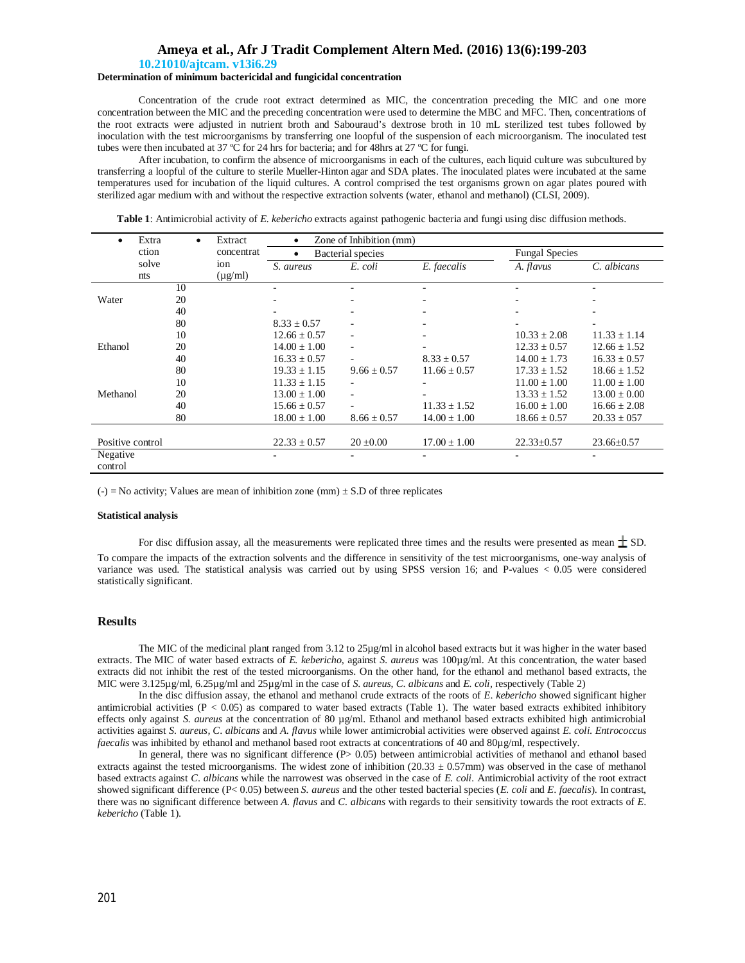## **Ameya et al., Afr J Tradit Complement Altern Med. (2016) 13(6):199-203**

#### **10.21010/ajtcam. v13i6.29**

## **Determination of minimum bactericidal and fungicidal concentration**

Concentration of the crude root extract determined as MIC, the concentration preceding the MIC and one more concentration between the MIC and the preceding concentration were used to determine the MBC and MFC. Then, concentrations of the root extracts were adjusted in nutrient broth and Sabouraud's dextrose broth in 10 mL sterilized test tubes followed by inoculation with the test microorganisms by transferring one loopful of the suspension of each microorganism. The inoculated test tubes were then incubated at 37 ºC for 24 hrs for bacteria; and for 48hrs at 27 ºC for fungi.

After incubation, to confirm the absence of microorganisms in each of the cultures, each liquid culture was subcultured by transferring a loopful of the culture to sterile Mueller-Hinton agar and SDA plates. The inoculated plates were incubated at the same temperatures used for incubation of the liquid cultures. A control comprised the test organisms grown on agar plates poured with sterilized agar medium with and without the respective extraction solvents (water, ethanol and methanol) (CLSI, 2009).

**Table 1**: Antimicrobial activity of *E. kebericho* extracts against pathogenic bacteria and fungi using disc diffusion methods.

|                     | Extra | Extract<br>concentrat | Zone of Inhibition (mm)<br>$\bullet$ |                  |                  |                       |                  |  |
|---------------------|-------|-----------------------|--------------------------------------|------------------|------------------|-----------------------|------------------|--|
| ction               |       |                       | <b>Bacterial</b> species             |                  |                  | <b>Fungal Species</b> |                  |  |
| solve               |       | ion                   | S. aureus                            | E. coli          | E. faecalis      | A. flavus             | C. albicans      |  |
| nts                 |       | $(\mu g/ml)$          |                                      |                  |                  |                       |                  |  |
|                     | 10    |                       |                                      |                  |                  |                       |                  |  |
| Water               | 20    |                       |                                      |                  |                  |                       |                  |  |
|                     | 40    |                       |                                      |                  |                  |                       |                  |  |
|                     | 80    |                       | $8.33 \pm 0.57$                      |                  |                  |                       |                  |  |
|                     | 10    |                       | $12.66 \pm 0.57$                     | ۰                |                  | $10.33 \pm 2.08$      | $11.33 \pm 1.14$ |  |
| Ethanol             | 20    |                       | $14.00 + 1.00$                       | ٠                |                  | $12.33 + 0.57$        | $12.66 + 1.52$   |  |
|                     | 40    |                       | $16.33 \pm 0.57$                     |                  | $8.33 \pm 0.57$  | $14.00 \pm 1.73$      | $16.33 \pm 0.57$ |  |
|                     | 80    |                       | $19.33 \pm 1.15$                     | $9.66 \pm 0.57$  | $11.66 \pm 0.57$ | $17.33 \pm 1.52$      | $18.66 \pm 1.52$ |  |
|                     | 10    |                       | $11.33 + 1.15$                       |                  |                  | $11.00 + 1.00$        | $11.00 + 1.00$   |  |
| Methanol            | 20    |                       | $13.00 \pm 1.00$                     | ٠                |                  | $13.33 \pm 1.52$      | $13.00 \pm 0.00$ |  |
|                     | 40    |                       | $15.66 \pm 0.57$                     |                  | $11.33 \pm 1.52$ | $16.00 \pm 1.00$      | $16.66 \pm 2.08$ |  |
|                     | 80    |                       | $18.00 \pm 1.00$                     | $8.66 \pm 0.57$  | $14.00 \pm 1.00$ | $18.66 \pm 0.57$      | $20.33 \pm 0.57$ |  |
|                     |       |                       |                                      |                  |                  |                       |                  |  |
| Positive control    |       | $22.33 \pm 0.57$      | $20 \pm 0.00$                        | $17.00 \pm 1.00$ | $22.33 \pm 0.57$ | $23.66 \pm 0.57$      |                  |  |
| Negative<br>control |       |                       |                                      |                  |                  |                       |                  |  |

 $(-)$  = No activity; Values are mean of inhibition zone (mm)  $\pm$  S.D of three replicates

#### **Statistical analysis**

For disc diffusion assay, all the measurements were replicated three times and the results were presented as mean  $\pm$  SD. To compare the impacts of the extraction solvents and the difference in sensitivity of the test microorganisms, one-way analysis of variance was used. The statistical analysis was carried out by using SPSS version 16; and P-values < 0.05 were considered statistically significant.

## **Results**

The MIC of the medicinal plant ranged from 3.12 to 25µg/ml in alcohol based extracts but it was higher in the water based extracts. The MIC of water based extracts of *E. kebericho*, against *S. aureus* was 100µg/ml. At this concentration, the water based extracts did not inhibit the rest of the tested microorganisms. On the other hand, for the ethanol and methanol based extracts, the MIC were 3.125µg/ml, 6.25µg/ml and 25µg/ml in the case of *S*. *aureus*, *C*. *albicans* and *E. coli,* respectively (Table 2)

In the disc diffusion assay, the ethanol and methanol crude extracts of the roots of *E*. *kebericho* showed significant higher antimicrobial activities ( $P < 0.05$ ) as compared to water based extracts (Table 1). The water based extracts exhibited inhibitory effects only against *S. aureus* at the concentration of 80 µg/ml. Ethanol and methanol based extracts exhibited high antimicrobial activities against *S. aureus, C*. *albicans* and *A*. *flavus* while lower antimicrobial activities were observed against *E. coli*. *Entrococcus faecalis* was inhibited by ethanol and methanol based root extracts at concentrations of 40 and 80µg/ml, respectively.

In general, there was no significant difference  $(P> 0.05)$  between antimicrobial activities of methanol and ethanol based extracts against the tested microorganisms. The widest zone of inhibition  $(20.33 \pm 0.57)$  mm was observed in the case of methanol based extracts against *C*. *albicans* while the narrowest was observed in the case of *E. coli.* Antimicrobial activity of the root extract showed significant difference (P< 0.05) between *S. aureus* and the other tested bacterial species (*E. coli* and *E*. *faecalis*). In contrast, there was no significant difference between *A. flavus* and *C. albicans* with regards to their sensitivity towards the root extracts of *E*. *kebericho* (Table 1).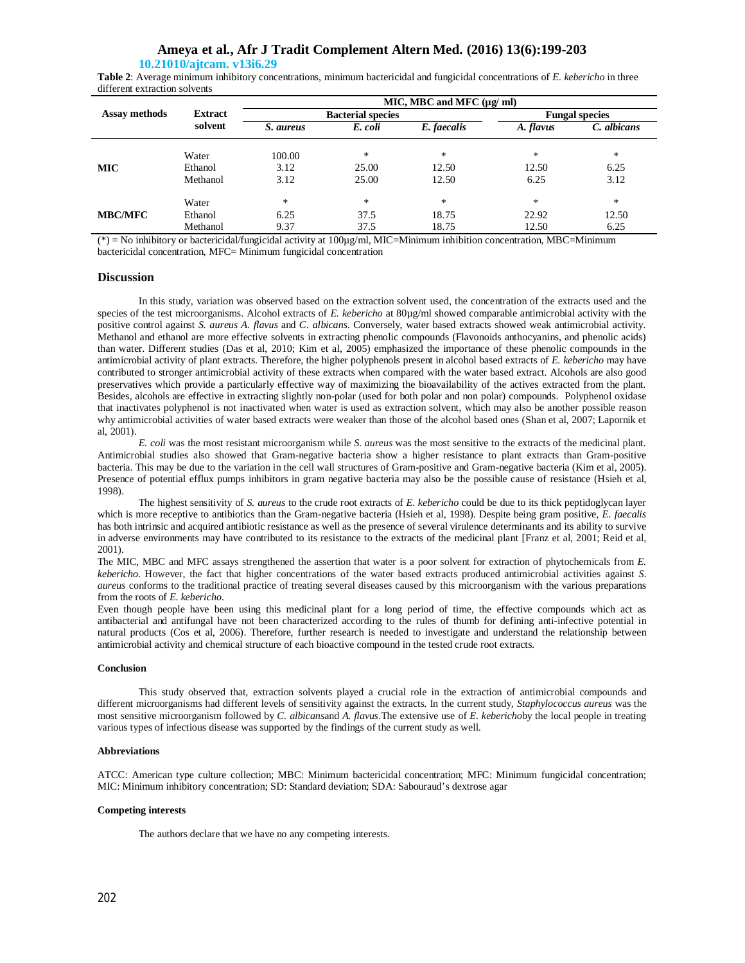## **Ameya et al., Afr J Tradit Complement Altern Med. (2016) 13(6):199-203**

## **10.21010/ajtcam. v13i6.29**

**Table 2**: Average minimum inhibitory concentrations, minimum bactericidal and fungicidal concentrations of *E. kebericho* in three different extraction solvents

|                |                | $MIC, MBC$ and $MFC$ ( $\mu\alpha$ /ml) |         |             |                       |             |  |  |
|----------------|----------------|-----------------------------------------|---------|-------------|-----------------------|-------------|--|--|
| Assay methods  | <b>Extract</b> | <b>Bacterial species</b>                |         |             | <b>Fungal species</b> |             |  |  |
|                | solvent        | S. aureus                               | E. coli | E. faecalis | A. flavus             | C. albicans |  |  |
|                | Water          | 100.00                                  | *       | $\ast$      | $\ast$                | $\ast$      |  |  |
| MIC .          | Ethanol        | 3.12                                    | 25.00   | 12.50       | 12.50                 | 6.25        |  |  |
|                | Methanol       | 3.12                                    | 25.00   | 12.50       | 6.25                  | 3.12        |  |  |
|                | Water          | $\ast$                                  | $\ast$  | $\ast$      | $\ast$                | $\ast$      |  |  |
| <b>MBC/MFC</b> | Ethanol        | 6.25                                    | 37.5    | 18.75       | 22.92                 | 12.50       |  |  |
|                | Methanol       | 9.37                                    | 37.5    | 18.75       | 12.50                 | 6.25        |  |  |

(\*) = No inhibitory or bactericidal/fungicidal activity at 100µg/ml, MIC=Minimum inhibition concentration, MBC=Minimum bactericidal concentration, MFC= Minimum fungicidal concentration

#### **Discussion**

In this study, variation was observed based on the extraction solvent used, the concentration of the extracts used and the species of the test microorganisms. Alcohol extracts of *E. kebericho* at 80µg/ml showed comparable antimicrobial activity with the positive control against *S. aureus A. flavus* and *C. albicans*. Conversely, water based extracts showed weak antimicrobial activity. Methanol and ethanol are more effective solvents in extracting phenolic compounds (Flavonoids anthocyanins, and phenolic acids) than water. Different studies (Das et al, 2010; Kim et al, 2005) emphasized the importance of these phenolic compounds in the antimicrobial activity of plant extracts. Therefore, the higher polyphenols present in alcohol based extracts of *E. kebericho* may have contributed to stronger antimicrobial activity of these extracts when compared with the water based extract. Alcohols are also good preservatives which provide a particularly effective way of maximizing the bioavailability of the actives extracted from the plant. Besides, alcohols are effective in extracting slightly non-polar (used for both polar and non polar) compounds. Polyphenol oxidase that inactivates polyphenol is not inactivated when water is used as extraction solvent, which may also be another possible reason why antimicrobial activities of water based extracts were weaker than those of the alcohol based ones (Shan et al, 2007; Lapornik et al, 2001).

*E. coli* was the most resistant microorganism while *S*. *aureus* was the most sensitive to the extracts of the medicinal plant. Antimicrobial studies also showed that Gram-negative bacteria show a higher resistance to plant extracts than Gram-positive bacteria. This may be due to the variation in the cell wall structures of Gram-positive and Gram-negative bacteria (Kim et al, 2005). Presence of potential efflux pumps inhibitors in gram negative bacteria may also be the possible cause of resistance (Hsieh et al, 1998).

The highest sensitivity of *S. aureus* to the crude root extracts of *E. kebericho* could be due to its thick peptidoglycan layer which is more receptive to antibiotics than the Gram-negative bacteria (Hsieh et al, 1998). Despite being gram positive, *E*. *faecalis* has both intrinsic and acquired antibiotic resistance as well as the presence of several virulence determinants and its ability to survive in adverse environments may have contributed to its resistance to the extracts of the medicinal plant [Franz et al, 2001; Reid et al, 2001).

The MIC, MBC and MFC assays strengthened the assertion that water is a poor solvent for extraction of phytochemicals from *E. kebericho*. However, the fact that higher concentrations of the water based extracts produced antimicrobial activities against *S*. *aureus* conforms to the traditional practice of treating several diseases caused by this microorganism with the various preparations from the roots of *E*. *kebericho*.

Even though people have been using this medicinal plant for a long period of time, the effective compounds which act as antibacterial and antifungal have not been characterized according to the rules of thumb for defining anti-infective potential in natural products (Cos et al, 2006). Therefore, further research is needed to investigate and understand the relationship between antimicrobial activity and chemical structure of each bioactive compound in the tested crude root extracts.

## **Conclusion**

This study observed that, extraction solvents played a crucial role in the extraction of antimicrobial compounds and different microorganisms had different levels of sensitivity against the extracts. In the current study, *Staphylococcus aureus* was the most sensitive microorganism followed by *C. albicans*and *A. flavus*.The extensive use of *E. kebericho*by the local people in treating various types of infectious disease was supported by the findings of the current study as well.

#### **Abbreviations**

ATCC: American type culture collection; MBC: Minimum bactericidal concentration; MFC: Minimum fungicidal concentration; MIC: Minimum inhibitory concentration; SD: Standard deviation; SDA: Sabouraud's dextrose agar

#### **Competing interests**

The authors declare that we have no any competing interests.